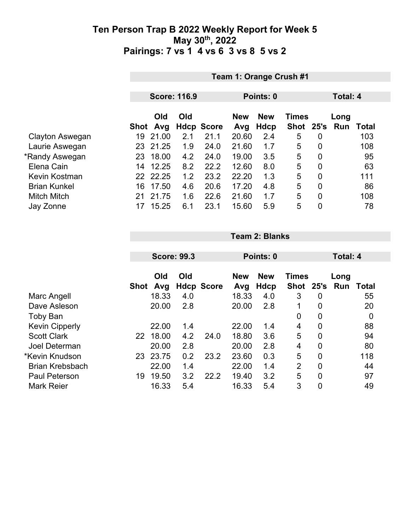|                     |      | Team 1: Orange Crush #1 |     |                   |            |             |              |                |          |       |  |
|---------------------|------|-------------------------|-----|-------------------|------------|-------------|--------------|----------------|----------|-------|--|
|                     |      |                         |     |                   |            |             |              |                |          |       |  |
|                     |      | <b>Score: 116.9</b>     |     |                   | Points: 0  |             |              |                | Total: 4 |       |  |
|                     |      | Old<br>Old              |     |                   | <b>New</b> | <b>New</b>  | <b>Times</b> |                | Long     |       |  |
|                     | Shot | Avg                     |     | <b>Hdcp Score</b> | Avg        | <b>Hdcp</b> | <b>Shot</b>  | 25's           | Run      | Total |  |
| Clayton Aswegan     | 19   | 21.00                   | 2.1 | 21.1              | 20.60      | 2.4         | 5            | 0              |          | 103   |  |
| Laurie Aswegan      | 23   | 21.25                   | 1.9 | 24.0              | 21.60      | 1.7         | 5            | 0              |          | 108   |  |
| *Randy Aswegan      |      | 23 18.00                | 4.2 | 24.0              | 19.00      | 3.5         | 5            | 0              |          | 95    |  |
| Elena Cain          | 14   | 12.25                   | 8.2 | 22.2              | 12.60      | 8.0         | 5            | 0              |          | 63    |  |
| Kevin Kostman       |      | 22 22.25                | 1.2 | 23.2              | 22.20      | 1.3         | 5            | $\overline{0}$ |          | 111   |  |
| <b>Brian Kunkel</b> | 16   | 17.50                   | 4.6 | 20.6              | 17.20      | 4.8         | 5            | $\mathbf 0$    |          | 86    |  |
| <b>Mitch Mitch</b>  | 21   | 21.75                   | 1.6 | 22.6              | 21.60      | 1.7         | 5            | $\overline{0}$ |          | 108   |  |
| Jay Zonne           |      | 15.25                   | 6.1 | 23.1              | 15.60      | 5.9         | 5            | 0              |          | 78    |  |

**Team 2: Blanks**

|                        |             |            | <b>Score: 99.3</b> |                   |                   | Points: 0                 |                             |             | Total: 4    |             |
|------------------------|-------------|------------|--------------------|-------------------|-------------------|---------------------------|-----------------------------|-------------|-------------|-------------|
|                        | <b>Shot</b> | Old<br>Avg | Old                | <b>Hdcp Score</b> | <b>New</b><br>Avg | <b>New</b><br><b>Hdcp</b> | <b>Times</b><br><b>Shot</b> | 25's        | Long<br>Run | Total       |
| Marc Angell            |             | 18.33      | 4.0                |                   | 18.33             | 4.0                       | 3                           | 0           |             | 55          |
| Dave Asleson           |             | 20.00      | 2.8                |                   | 20.00             | 2.8                       | 1                           | 0           |             | 20          |
| <b>Toby Ban</b>        |             |            |                    |                   |                   |                           | 0                           | 0           |             | $\mathbf 0$ |
| <b>Kevin Cipperly</b>  |             | 22.00      | 1.4                |                   | 22.00             | 1.4                       | $\overline{4}$              | 0           |             | 88          |
| <b>Scott Clark</b>     | 22          | 18.00      | 4.2                | 24.0              | 18.80             | 3.6                       | 5                           | 0           |             | 94          |
| <b>Joel Determan</b>   |             | 20.00      | 2.8                |                   | 20.00             | 2.8                       | 4                           | $\mathbf 0$ |             | 80          |
| *Kevin Knudson         | 23          | 23.75      | 0.2                | 23.2              | 23.60             | 0.3                       | 5                           | 0           |             | 118         |
| <b>Brian Krebsbach</b> |             | 22.00      | 1.4                |                   | 22.00             | 1.4                       | $\overline{2}$              | $\mathbf 0$ |             | 44          |
| <b>Paul Peterson</b>   | 19          | 19.50      | 3.2                | 22.2              | 19.40             | 3.2                       | 5                           | 0           |             | 97          |
| <b>Mark Reier</b>      |             | 16.33      | 5.4                |                   | 16.33             | 5.4                       | 3                           | $\mathbf 0$ |             | 49          |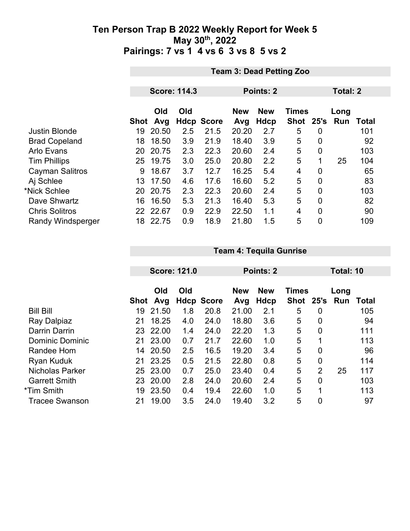|                          |      | <b>Team 3: Dead Petting Zoo</b> |     |                   |                   |                    |                           |                 |             |              |  |
|--------------------------|------|---------------------------------|-----|-------------------|-------------------|--------------------|---------------------------|-----------------|-------------|--------------|--|
|                          |      |                                 |     |                   |                   |                    |                           |                 |             |              |  |
|                          |      | <b>Score: 114.3</b>             |     |                   |                   | <b>Points: 2</b>   |                           | <b>Total: 2</b> |             |              |  |
|                          | Shot | Old<br>Avg                      | Old | <b>Hdcp Score</b> | <b>New</b><br>Avg | <b>New</b><br>Hdcp | <b>Times</b><br>Shot 25's |                 | Long<br>Run | <b>Total</b> |  |
| <b>Justin Blonde</b>     | 19   | 20.50                           | 2.5 | 21.5              | 20.20             | 2.7                | 5                         | $\overline{0}$  |             | 101          |  |
| <b>Brad Copeland</b>     | 18   | 18.50                           | 3.9 | 21.9              | 18.40             | 3.9                | 5                         | $\overline{0}$  |             | 92           |  |
| <b>Arlo Evans</b>        | 20   | 20.75                           | 2.3 | 22.3              | 20.60             | 2.4                | 5                         | $\overline{0}$  |             | 103          |  |
| <b>Tim Phillips</b>      | 25   | 19.75                           | 3.0 | 25.0              | 20.80             | 2.2                | 5                         | 1               | 25          | 104          |  |
| <b>Cayman Salitros</b>   | 9    | 18.67                           | 3.7 | 12.7              | 16.25             | 5.4                | 4                         | $\mathbf 0$     |             | 65           |  |
| Aj Schlee                | 13   | 17.50                           | 4.6 | 17.6              | 16.60             | 5.2                | 5                         | 0               |             | 83           |  |
| *Nick Schlee             | 20   | 20.75                           | 2.3 | 22.3              | 20.60             | 2.4                | 5                         | 0               |             | 103          |  |
| Dave Shwartz             | 16   | 16.50                           | 5.3 | 21.3              | 16.40             | 5.3                | 5                         | $\overline{0}$  |             | 82           |  |
| <b>Chris Solitros</b>    |      | 22 22.67                        | 0.9 | 22.9              | 22.50             | 1.1                | 4                         | $\overline{0}$  |             | 90           |  |
| <b>Randy Windsperger</b> | 18   | 22.75                           | 0.9 | 18.9              | 21.80             | 1.5                | 5                         | 0               |             | 109          |  |

|                        |      |       | <b>Score: 121.0</b> |                   |            | Points: 2  |                 |                | Total: 10 |       |
|------------------------|------|-------|---------------------|-------------------|------------|------------|-----------------|----------------|-----------|-------|
|                        |      | Old   | Old                 |                   | <b>New</b> | <b>New</b> | <b>Times</b>    |                | Long      |       |
|                        | Shot | Avg   |                     | <b>Hdcp Score</b> | Avg        | Hdcp       | <b>Shot</b>     | 25's           | Run       | Total |
| <b>Bill Bill</b>       | 19   | 21.50 | 1.8                 | 20.8              | 21.00      | 2.1        | 5               | 0              |           | 105   |
| Ray Dalpiaz            | 21   | 18.25 | 4.0                 | 24.0              | 18.80      | 3.6        | 5               | 0              |           | 94    |
| <b>Darrin Darrin</b>   | 23   | 22.00 | 1.4                 | 24.0              | 22.20      | 1.3        | $5\phantom{.0}$ | $\overline{0}$ |           | 111   |
| <b>Dominic Dominic</b> | 21   | 23.00 | 0.7                 | 21.7              | 22.60      | 1.0        | 5               | 1              |           | 113   |
| Randee Hom             | 14   | 20.50 | 2.5                 | 16.5              | 19.20      | 3.4        | $5\phantom{.0}$ | 0              |           | 96    |
| Ryan Kuduk             | 21   | 23.25 | 0.5                 | 21.5              | 22.80      | 0.8        | 5               | 0              |           | 114   |
| <b>Nicholas Parker</b> | 25   | 23.00 | 0.7                 | 25.0              | 23.40      | 0.4        | 5               | $\overline{2}$ | 25        | 117   |
| <b>Garrett Smith</b>   | 23   | 20.00 | 2.8                 | 24.0              | 20.60      | 2.4        | 5               | $\overline{0}$ |           | 103   |
| *Tim Smith             | 19   | 23.50 | 0.4                 | 19.4              | 22.60      | 1.0        | 5               | 1              |           | 113   |
| <b>Tracee Swanson</b>  | 21   | 19.00 | 3.5                 | 24.0              | 19.40      | 3.2        | 5               | 0              |           | 97    |

**Team 4: Tequila Gunrise**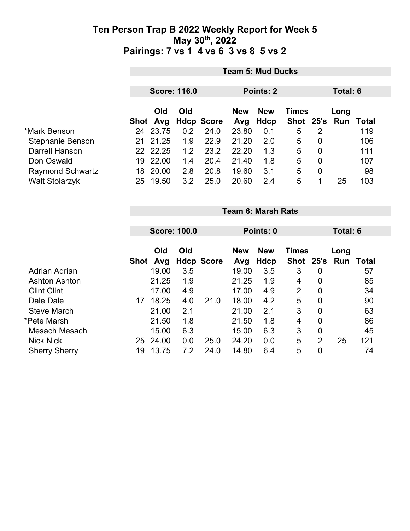|                         | <b>Team 5: Mud Ducks</b> |            |     |                   |            |            |              |                |               |       |  |  |
|-------------------------|--------------------------|------------|-----|-------------------|------------|------------|--------------|----------------|---------------|-------|--|--|
|                         | <b>Score: 116.0</b>      |            |     |                   | Points: 2  |            |              |                | Total: 6      |       |  |  |
|                         |                          | <b>Old</b> | Old |                   | <b>New</b> | <b>New</b> | <b>Times</b> |                | Long          |       |  |  |
|                         |                          | Shot Avg   |     | <b>Hdcp Score</b> | Avg        | Hdcp       |              |                | Shot 25's Run | Total |  |  |
| *Mark Benson            |                          | 24 23.75   | 0.2 | 24.0              | 23.80      | 0.1        | 5            | 2              |               | 119   |  |  |
| Stephanie Benson        | 21                       | 21.25      | 1.9 | 22.9              | 21.20      | 2.0        | 5            | 0              |               | 106   |  |  |
| Darrell Hanson          |                          | 22 22.25   | 1.2 | 23.2              | 22.20      | 1.3        | 5            | 0              |               | 111   |  |  |
| Don Oswald              | 19                       | 22.00      | 1.4 | 20.4              | 21.40      | 1.8        | 5            | $\overline{0}$ |               | 107   |  |  |
| <b>Raymond Schwartz</b> | 18                       | 20.00      | 2.8 | 20.8              | 19.60      | 3.1        | 5            | 0              |               | 98    |  |  |
| <b>Walt Stolarzyk</b>   | 25                       | 19.50      | 3.2 | 25.0              | 20.60      | 2.4        | 5            | 1              | 25            | 103   |  |  |

|                      |      | <b>Team 6: Marsh Rats</b> |     |                   |            |             |              |                |      |       |  |
|----------------------|------|---------------------------|-----|-------------------|------------|-------------|--------------|----------------|------|-------|--|
|                      |      |                           |     |                   |            |             |              |                |      |       |  |
|                      |      | <b>Score: 100.0</b>       |     |                   | Points: 0  |             | Total: 6     |                |      |       |  |
|                      |      |                           |     |                   |            |             |              |                |      |       |  |
|                      |      | Old                       | Old |                   | <b>New</b> | <b>New</b>  | <b>Times</b> |                | Long |       |  |
|                      | Shot | Avg                       |     | <b>Hdcp Score</b> | Avg        | <b>Hdcp</b> | <b>Shot</b>  | 25's           | Run  | Total |  |
| Adrian Adrian        |      | 19.00                     | 3.5 |                   | 19.00      | 3.5         | 3            | 0              |      | 57    |  |
| <b>Ashton Ashton</b> |      | 21.25                     | 1.9 |                   | 21.25      | 1.9         | 4            | $\mathbf 0$    |      | 85    |  |
| <b>Clint Clint</b>   |      | 17.00                     | 4.9 |                   | 17.00      | 4.9         | 2            | $\overline{0}$ |      | 34    |  |
| Dale Dale            | 17   | 18.25                     | 4.0 | 21.0              | 18.00      | 4.2         | 5            | $\mathbf 0$    |      | 90    |  |
| <b>Steve March</b>   |      | 21.00                     | 2.1 |                   | 21.00      | 2.1         | 3            | $\overline{0}$ |      | 63    |  |
| *Pete Marsh          |      | 21.50                     | 1.8 |                   | 21.50      | 1.8         | 4            | $\mathbf 0$    |      | 86    |  |
| Mesach Mesach        |      | 15.00                     | 6.3 |                   | 15.00      | 6.3         | 3            | 0              |      | 45    |  |
| <b>Nick Nick</b>     | 25   | 24.00                     | 0.0 | 25.0              | 24.20      | 0.0         | 5            | $\overline{2}$ | 25   | 121   |  |
| <b>Sherry Sherry</b> | 19   | 13.75                     | 7.2 | 24.0              | 14.80      | 6.4         | 5            | 0              |      | 74    |  |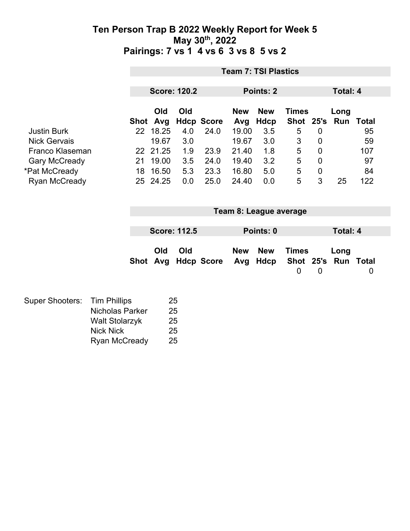|                        |                                                                                                                    |    | <b>Team 7: TSI Plastics</b> |                      |                   |                   |                                     |                                          |                  |                          |     |  |
|------------------------|--------------------------------------------------------------------------------------------------------------------|----|-----------------------------|----------------------|-------------------|-------------------|-------------------------------------|------------------------------------------|------------------|--------------------------|-----|--|
|                        |                                                                                                                    |    | <b>Score: 120.2</b>         |                      |                   |                   | Points: 2                           |                                          |                  | Total: 4                 |     |  |
|                        |                                                                                                                    |    | Old<br>Shot Avg             | Old                  | <b>Hdcp Score</b> | <b>New</b><br>Avg | <b>New</b><br><b>Hdcp</b>           | <b>Times</b><br><b>Shot</b>              | 25's             | Long<br><b>Run Total</b> |     |  |
| <b>Justin Burk</b>     |                                                                                                                    |    | 22 18.25                    | 4.0                  | 24.0              | 19.00             | 3.5                                 | 5                                        | $\overline{0}$   |                          | 95  |  |
| <b>Nick Gervais</b>    |                                                                                                                    |    | 19.67                       | 3.0                  |                   | 19.67             | 3.0                                 | 3                                        | $\mathbf 0$      |                          | 59  |  |
| Franco Klaseman        |                                                                                                                    |    | 22 21.25                    | 1.9                  | 23.9              | 21.40             | 1.8                                 | 5                                        | 0                |                          | 107 |  |
| <b>Gary McCready</b>   |                                                                                                                    | 21 | 19.00                       | 3.5                  | 24.0              | 19.40             | 3.2                                 | 5                                        | $\mathbf 0$      |                          | 97  |  |
| *Pat McCready          |                                                                                                                    | 18 | 16.50                       | 5.3                  | 23.3              | 16.80             | 5.0                                 | 5                                        | $\boldsymbol{0}$ |                          | 84  |  |
| Ryan McCready          |                                                                                                                    |    | 25 24.25                    | 0.0                  | 25.0              | 24.40             | 0.0                                 | 5                                        | 3                | 25                       | 122 |  |
|                        |                                                                                                                    |    |                             | <b>Score: 112.5</b>  |                   |                   | Team 8: League average<br>Points: 0 |                                          |                  | <b>Total: 4</b>          |     |  |
|                        |                                                                                                                    |    | Old<br>Shot Avg             | Old                  | <b>Hdcp Score</b> | <b>New</b><br>Avg | <b>New</b><br>Hdcp                  | <b>Times</b><br>Shot 25's<br>$\mathbf 0$ | 0                | Long<br>Run Total        | 0   |  |
| <b>Super Shooters:</b> | <b>Tim Phillips</b><br><b>Nicholas Parker</b><br><b>Walt Stolarzyk</b><br><b>Nick Nick</b><br><b>Ryan McCready</b> |    | 25                          | 25<br>25<br>25<br>25 |                   |                   |                                     |                                          |                  |                          |     |  |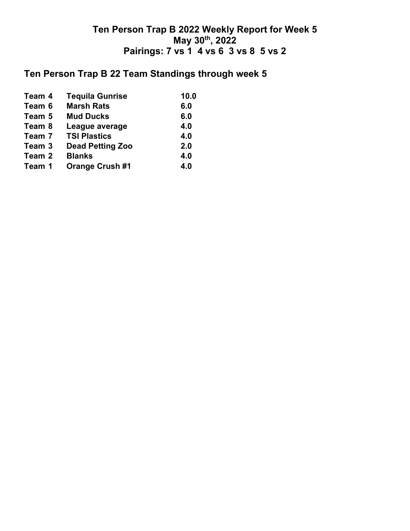## **Ten Person Trap B 22 Team Standings through week 5**

| <b>Tequila Gunrise</b>                                                       | 10.0 |
|------------------------------------------------------------------------------|------|
| <b>Marsh Rats</b>                                                            | 6.0  |
| <b>Mud Ducks</b>                                                             | 6.0  |
| League average                                                               | 4.0  |
| <b>TSI Plastics</b>                                                          | 4.0  |
| <b>Dead Petting Zoo</b>                                                      | 2.0  |
| <b>Blanks</b>                                                                | 4.0  |
| <b>Orange Crush #1</b>                                                       | 4.0  |
| Team 4<br>Team 6<br>Team 5<br>Team 8<br>Team 7<br>Team 3<br>Team 2<br>Team 1 |      |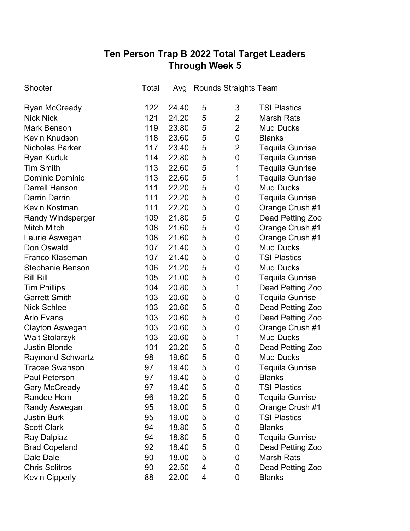# **Ten Person Trap B 2022 Total Target Leaders Through Week 5**

| Shooter                  | Total |       | Avg Rounds Straights Team |                |                        |
|--------------------------|-------|-------|---------------------------|----------------|------------------------|
| <b>Ryan McCready</b>     | 122   | 24.40 | 5                         | 3              | <b>TSI Plastics</b>    |
| <b>Nick Nick</b>         | 121   | 24.20 | 5                         | $\overline{2}$ | <b>Marsh Rats</b>      |
| <b>Mark Benson</b>       | 119   | 23.80 | 5                         | $\overline{2}$ | <b>Mud Ducks</b>       |
| <b>Kevin Knudson</b>     | 118   | 23.60 | 5                         | 0              | <b>Blanks</b>          |
| <b>Nicholas Parker</b>   | 117   | 23.40 | 5                         | $\overline{2}$ | <b>Tequila Gunrise</b> |
| <b>Ryan Kuduk</b>        | 114   | 22.80 | 5                         | 0              | <b>Tequila Gunrise</b> |
| <b>Tim Smith</b>         | 113   | 22.60 | 5                         | 1              | <b>Tequila Gunrise</b> |
| <b>Dominic Dominic</b>   | 113   | 22.60 | 5                         | 1              | <b>Tequila Gunrise</b> |
| <b>Darrell Hanson</b>    | 111   | 22.20 | 5                         | 0              | <b>Mud Ducks</b>       |
| <b>Darrin Darrin</b>     | 111   | 22.20 | 5                         | 0              | <b>Tequila Gunrise</b> |
| Kevin Kostman            | 111   | 22.20 | 5                         | 0              | Orange Crush #1        |
| <b>Randy Windsperger</b> | 109   | 21.80 | 5                         | 0              | Dead Petting Zoo       |
| <b>Mitch Mitch</b>       | 108   | 21.60 | 5                         | 0              | Orange Crush #1        |
| Laurie Aswegan           | 108   | 21.60 | 5                         | 0              | Orange Crush #1        |
| Don Oswald               | 107   | 21.40 | 5                         | 0              | <b>Mud Ducks</b>       |
| <b>Franco Klaseman</b>   | 107   | 21.40 | 5                         | 0              | <b>TSI Plastics</b>    |
| Stephanie Benson         | 106   | 21.20 | 5                         | 0              | <b>Mud Ducks</b>       |
| <b>Bill Bill</b>         | 105   | 21.00 | 5                         | 0              | <b>Tequila Gunrise</b> |
| <b>Tim Phillips</b>      | 104   | 20.80 | 5                         | 1              | Dead Petting Zoo       |
| <b>Garrett Smith</b>     | 103   | 20.60 | 5                         | 0              | <b>Tequila Gunrise</b> |
| <b>Nick Schlee</b>       | 103   | 20.60 | 5                         | 0              | Dead Petting Zoo       |
| <b>Arlo Evans</b>        | 103   | 20.60 | 5                         | 0              | Dead Petting Zoo       |
| <b>Clayton Aswegan</b>   | 103   | 20.60 | 5                         | 0              | Orange Crush #1        |
| <b>Walt Stolarzyk</b>    | 103   | 20.60 | 5                         | 1              | <b>Mud Ducks</b>       |
| <b>Justin Blonde</b>     | 101   | 20.20 | 5                         | 0              | Dead Petting Zoo       |
| <b>Raymond Schwartz</b>  | 98    | 19.60 | 5                         | 0              | <b>Mud Ducks</b>       |
| <b>Tracee Swanson</b>    | 97    | 19.40 | 5                         | 0              | <b>Tequila Gunrise</b> |
| <b>Paul Peterson</b>     | 97    | 19.40 | 5                         | 0              | <b>Blanks</b>          |
| <b>Gary McCready</b>     | 97    | 19.40 | 5                         | 0              | <b>TSI Plastics</b>    |
| Randee Hom               | 96    | 19.20 | 5                         | 0              | <b>Tequila Gunrise</b> |
| Randy Aswegan            | 95    | 19.00 | 5                         | 0              | Orange Crush #1        |
| <b>Justin Burk</b>       | 95    | 19.00 | 5                         | 0              | <b>TSI Plastics</b>    |
| <b>Scott Clark</b>       | 94    | 18.80 | 5                         | 0              | <b>Blanks</b>          |
| Ray Dalpiaz              | 94    | 18.80 | 5                         | 0              | <b>Tequila Gunrise</b> |
| <b>Brad Copeland</b>     | 92    | 18.40 | 5                         | 0              | Dead Petting Zoo       |
| Dale Dale                | 90    | 18.00 | 5                         | 0              | <b>Marsh Rats</b>      |
| <b>Chris Solitros</b>    | 90    | 22.50 | 4                         | 0              | Dead Petting Zoo       |
| <b>Kevin Cipperly</b>    | 88    | 22.00 | 4                         | 0              | <b>Blanks</b>          |